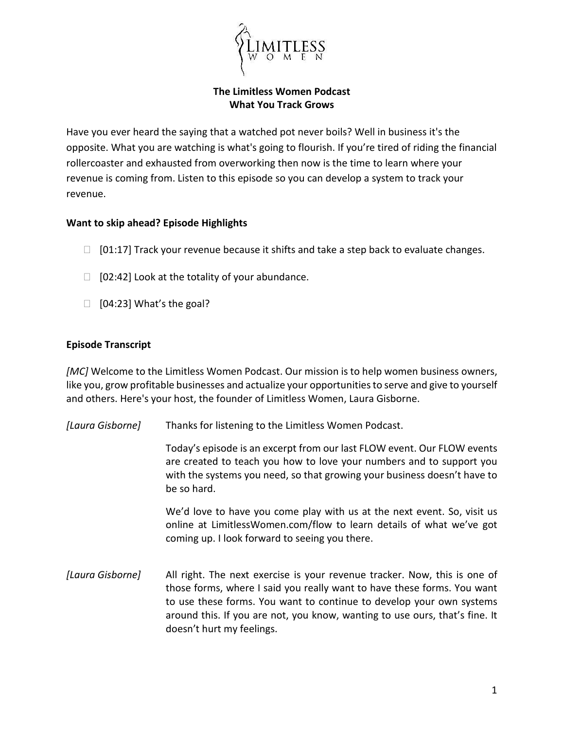

## **The Limitless Women Podcast What You Track Grows**

Have you ever heard the saying that a watched pot never boils? Well in business it's the opposite. What you are watching is what's going to flourish. If you're tired of riding the financial rollercoaster and exhausted from overworking then now is the time to learn where your revenue is coming from. Listen to this episode so you can develop a system to track your revenue.

## **Want to skip ahead? Episode Highlights**

- $\Box$  [01:17] Track your revenue because it shifts and take a step back to evaluate changes.
- $\Box$  [02:42] Look at the totality of your abundance.
- $\Box$  [04:23] What's the goal?

## **Episode Transcript**

*[MC]* Welcome to the Limitless Women Podcast. Our mission is to help women business owners, like you, grow profitable businesses and actualize your opportunities to serve and give to yourself and others. Here's your host, the founder of Limitless Women, Laura Gisborne.

*[Laura Gisborne]* Thanks for listening to the Limitless Women Podcast.

Today's episode is an excerpt from our last FLOW event. Our FLOW events are created to teach you how to love your numbers and to support you with the systems you need, so that growing your business doesn't have to be so hard.

We'd love to have you come play with us at the next event. So, visit us online at LimitlessWomen.com/flow to learn details of what we've got coming up. I look forward to seeing you there.

*[Laura Gisborne]* All right. The next exercise is your revenue tracker. Now, this is one of those forms, where I said you really want to have these forms. You want to use these forms. You want to continue to develop your own systems around this. If you are not, you know, wanting to use ours, that's fine. It doesn't hurt my feelings.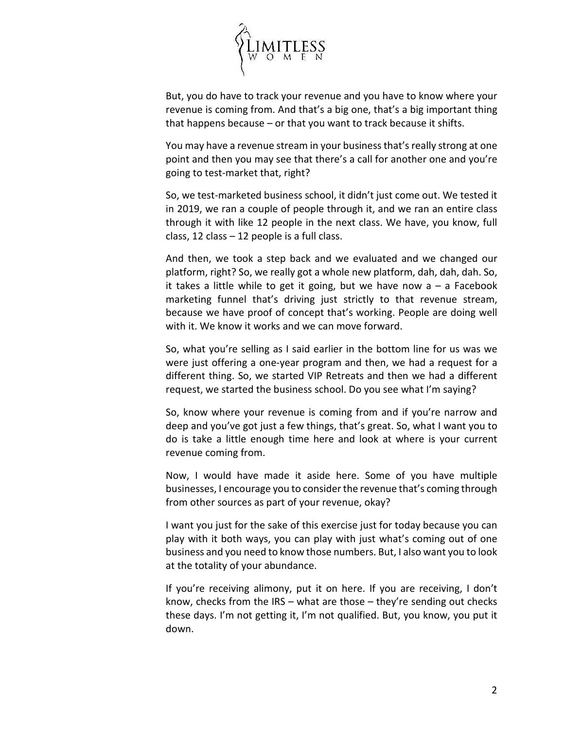

But, you do have to track your revenue and you have to know where your revenue is coming from. And that's a big one, that's a big important thing that happens because – or that you want to track because it shifts.

You may have a revenue stream in your business that's really strong at one point and then you may see that there's a call for another one and you're going to test-market that, right?

So, we test-marketed business school, it didn't just come out. We tested it in 2019, we ran a couple of people through it, and we ran an entire class through it with like 12 people in the next class. We have, you know, full class, 12 class  $-$  12 people is a full class.

And then, we took a step back and we evaluated and we changed our platform, right? So, we really got a whole new platform, dah, dah, dah. So, it takes a little while to get it going, but we have now  $a - a$  Facebook marketing funnel that's driving just strictly to that revenue stream, because we have proof of concept that's working. People are doing well with it. We know it works and we can move forward.

So, what you're selling as I said earlier in the bottom line for us was we were just offering a one-year program and then, we had a request for a different thing. So, we started VIP Retreats and then we had a different request, we started the business school. Do you see what I'm saying?

So, know where your revenue is coming from and if you're narrow and deep and you've got just a few things, that's great. So, what I want you to do is take a little enough time here and look at where is your current revenue coming from.

Now, I would have made it aside here. Some of you have multiple businesses, I encourage you to consider the revenue that's coming through from other sources as part of your revenue, okay?

I want you just for the sake of this exercise just for today because you can play with it both ways, you can play with just what's coming out of one business and you need to know those numbers. But, I also want you to look at the totality of your abundance.

If you're receiving alimony, put it on here. If you are receiving, I don't know, checks from the IRS – what are those – they're sending out checks these days. I'm not getting it, I'm not qualified. But, you know, you put it down.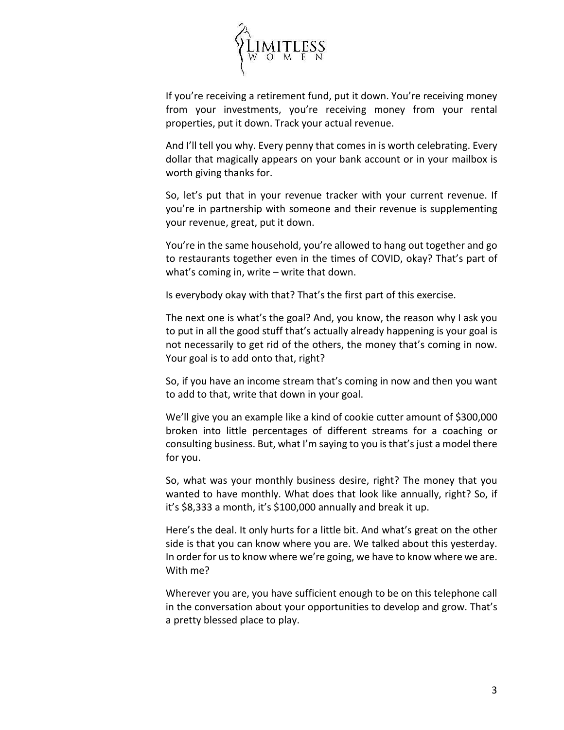

If you're receiving a retirement fund, put it down. You're receiving money from your investments, you're receiving money from your rental properties, put it down. Track your actual revenue.

And I'll tell you why. Every penny that comes in is worth celebrating. Every dollar that magically appears on your bank account or in your mailbox is worth giving thanks for.

So, let's put that in your revenue tracker with your current revenue. If you're in partnership with someone and their revenue is supplementing your revenue, great, put it down.

You're in the same household, you're allowed to hang out together and go to restaurants together even in the times of COVID, okay? That's part of what's coming in, write – write that down.

Is everybody okay with that? That's the first part of this exercise.

The next one is what's the goal? And, you know, the reason why I ask you to put in all the good stuff that's actually already happening is your goal is not necessarily to get rid of the others, the money that's coming in now. Your goal is to add onto that, right?

So, if you have an income stream that's coming in now and then you want to add to that, write that down in your goal.

We'll give you an example like a kind of cookie cutter amount of \$300,000 broken into little percentages of different streams for a coaching or consulting business. But, what I'm saying to you is that's just a model there for you.

So, what was your monthly business desire, right? The money that you wanted to have monthly. What does that look like annually, right? So, if it's \$8,333 a month, it's \$100,000 annually and break it up.

Here's the deal. It only hurts for a little bit. And what's great on the other side is that you can know where you are. We talked about this yesterday. In order for us to know where we're going, we have to know where we are. With me?

Wherever you are, you have sufficient enough to be on this telephone call in the conversation about your opportunities to develop and grow. That's a pretty blessed place to play.